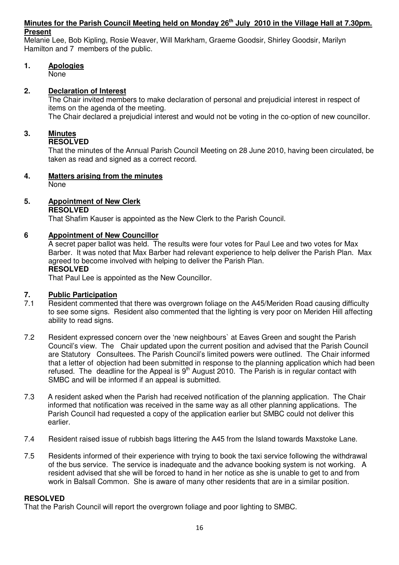#### **Minutes for the Parish Council Meeting held on Monday 26th July 2010 in the Village Hall at 7.30pm. Present**

Melanie Lee, Bob Kipling, Rosie Weaver, Will Markham, Graeme Goodsir, Shirley Goodsir, Marilyn Hamilton and 7 members of the public.

**1. Apologies**

None

# **2. Declaration of Interest**

The Chair invited members to make declaration of personal and prejudicial interest in respect of items on the agenda of the meeting.

The Chair declared a prejudicial interest and would not be voting in the co-option of new councillor.

# **3. Minutes**

# **RESOLVED**

That the minutes of the Annual Parish Council Meeting on 28 June 2010, having been circulated, be taken as read and signed as a correct record.

# **4. Matters arising from the minutes**

None

# **5. Appointment of New Clerk**

# **RESOLVED**

That Shafim Kauser is appointed as the New Clerk to the Parish Council.

# **6 Appointment of New Councillor**

A secret paper ballot was held. The results were four votes for Paul Lee and two votes for Max Barber. It was noted that Max Barber had relevant experience to help deliver the Parish Plan. Max agreed to become involved with helping to deliver the Parish Plan. **RESOLVED** 

That Paul Lee is appointed as the New Councillor.

# **7. Public Participation**

- 7.1 Resident commented that there was overgrown foliage on the A45/Meriden Road causing difficulty to see some signs. Resident also commented that the lighting is very poor on Meriden Hill affecting ability to read signs.
- 7.2 Resident expressed concern over the 'new neighbours` at Eaves Green and sought the Parish Council's view. The Chair updated upon the current position and advised that the Parish Council are Statutory Consultees. The Parish Council's limited powers were outlined. The Chair informed that a letter of objection had been submitted in response to the planning application which had been refused. The deadline for the Appeal is  $9<sup>th</sup>$  August 2010. The Parish is in regular contact with SMBC and will be informed if an appeal is submitted.
- 7.3 A resident asked when the Parish had received notification of the planning application. The Chair informed that notification was received in the same way as all other planning applications. The Parish Council had requested a copy of the application earlier but SMBC could not deliver this earlier.
- 7.4 Resident raised issue of rubbish bags littering the A45 from the Island towards Maxstoke Lane.
- 7.5 Residents informed of their experience with trying to book the taxi service following the withdrawal of the bus service. The service is inadequate and the advance booking system is not working. A resident advised that she will be forced to hand in her notice as she is unable to get to and from work in Balsall Common. She is aware of many other residents that are in a similar position.

# **RESOLVED**

That the Parish Council will report the overgrown foliage and poor lighting to SMBC.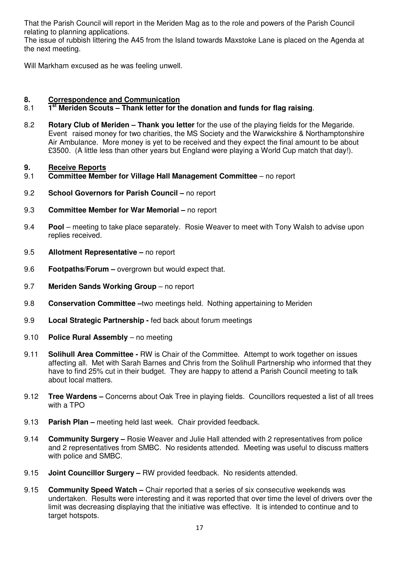That the Parish Council will report in the Meriden Mag as to the role and powers of the Parish Council relating to planning applications.

The issue of rubbish littering the A45 from the Island towards Maxstoke Lane is placed on the Agenda at the next meeting.

Will Markham excused as he was feeling unwell.

## **8. Correspondence and Communication**

#### 8.1 **1 st Meriden Scouts – Thank letter for the donation and funds for flag raising**.

8.2 **Rotary Club of Meriden – Thank you letter** for the use of the playing fields for the Megaride. Event raised money for two charities, the MS Society and the Warwickshire & Northamptonshire Air Ambulance. More money is yet to be received and they expect the final amount to be about £3500. (A little less than other years but England were playing a World Cup match that day!).

#### **9. Receive Reports**

- 9.1 **Committee Member for Village Hall Management Committee** no report
- 9.2 **School Governors for Parish Council** no report
- 9.3 **Committee Member for War Memorial** no report
- 9.4 **Pool** meeting to take place separately. Rosie Weaver to meet with Tony Walsh to advise upon replies received.
- 9.5 **Allotment Representative** no report
- 9.6 **Footpaths/Forum** overgrown but would expect that.
- 9.7 **Meriden Sands Working Group** no report
- 9.8 **Conservation Committee –**two meetings held. Nothing appertaining to Meriden
- 9.9 **Local Strategic Partnership** fed back about forum meetings
- 9.10 **Police Rural Assembly** no meeting
- 9.11 **Solihull Area Committee** RW is Chair of the Committee. Attempt to work together on issues affecting all. Met with Sarah Barnes and Chris from the Solihull Partnership who informed that they have to find 25% cut in their budget. They are happy to attend a Parish Council meeting to talk about local matters.
- 9.12 **Tree Wardens** Concerns about Oak Tree in playing fields. Councillors requested a list of all trees with a TPO
- 9.13 **Parish Plan** meeting held last week. Chair provided feedback.
- 9.14 **Community Surgery** Rosie Weaver and Julie Hall attended with 2 representatives from police and 2 representatives from SMBC. No residents attended. Meeting was useful to discuss matters with police and SMBC.
- 9.15 **Joint Councillor Surgery** RW provided feedback. No residents attended.
- 9.15 **Community Speed Watch** Chair reported that a series of six consecutive weekends was undertaken. Results were interesting and it was reported that over time the level of drivers over the limit was decreasing displaying that the initiative was effective. It is intended to continue and to target hotspots.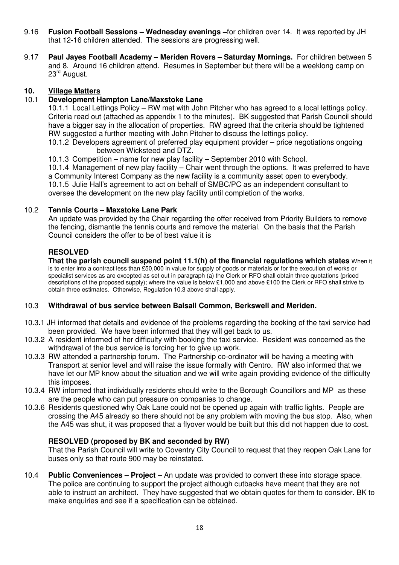- 9.16 **Fusion Football Sessions Wednesday evenings –**for children over 14. It was reported by JH that 12-16 children attended. The sessions are progressing well.
- 9.17 **Paul Jayes Football Academy Meriden Rovers Saturday Mornings.** For children between 5 and 8. Around 16 children attend. Resumes in September but there will be a weeklong camp on 23<sup>rd</sup> August.

## **10. Village Matters**

### 10.1 **Development Hampton Lane/Maxstoke Lane**

10.1.1 Local Lettings Policy – RW met with John Pitcher who has agreed to a local lettings policy. Criteria read out (attached as appendix 1 to the minutes). BK suggested that Parish Council should have a bigger say in the allocation of properties. RW agreed that the criteria should be tightened RW suggested a further meeting with John Pitcher to discuss the lettings policy.

 10.1.2 Developers agreement of preferred play equipment provider – price negotiations ongoing between Wicksteed and DTZ.

10.1.3 Competition – name for new play facility – September 2010 with School.

 10.1.4 Management of new play facility – Chair went through the options. It was preferred to have a Community Interest Company as the new facility is a community asset open to everybody. 10.1.5 Julie Hall's agreement to act on behalf of SMBC/PC as an independent consultant to oversee the development on the new play facility until completion of the works.

#### 10.2 **Tennis Courts – Maxstoke Lane Park**

An update was provided by the Chair regarding the offer received from Priority Builders to remove the fencing, dismantle the tennis courts and remove the material. On the basis that the Parish Council considers the offer to be of best value it is

### **RESOLVED**

**That the parish council suspend point 11.1(h) of the financial regulations which states** When it is to enter into a contract less than £50,000 in value for supply of goods or materials or for the execution of works or specialist services as are excepted as set out in paragraph (a) the Clerk or RFO shall obtain three quotations (priced descriptions of the proposed supply); where the value is below £1,000 and above £100 the Clerk or RFO shall strive to obtain three estimates. Otherwise, Regulation 10.3 above shall apply.

#### 10.3 **Withdrawal of bus service between Balsall Common, Berkswell and Meriden.**

- 10.3.1 JH informed that details and evidence of the problems regarding the booking of the taxi service had been provided. We have been informed that they will get back to us.
- 10.3.2 A resident informed of her difficulty with booking the taxi service. Resident was concerned as the withdrawal of the bus service is forcing her to give up work.
- 10.3.3 RW attended a partnership forum. The Partnership co-ordinator will be having a meeting with Transport at senior level and will raise the issue formally with Centro. RW also informed that we have let our MP know about the situation and we will write again providing evidence of the difficulty this imposes.
- 10.3.4 RW informed that individually residents should write to the Borough Councillors and MP as these are the people who can put pressure on companies to change.
- 10.3.6 Residents questioned why Oak Lane could not be opened up again with traffic lights. People are crossing the A45 already so there should not be any problem with moving the bus stop. Also, when the A45 was shut, it was proposed that a flyover would be built but this did not happen due to cost.

## **RESOLVED (proposed by BK and seconded by RW)**

That the Parish Council will write to Coventry City Council to request that they reopen Oak Lane for buses only so that route 900 may be reinstated.

10.4 **Public Conveniences – Project –** An update was provided to convert these into storage space. The police are continuing to support the project although cutbacks have meant that they are not able to instruct an architect. They have suggested that we obtain quotes for them to consider. BK to make enquiries and see if a specification can be obtained.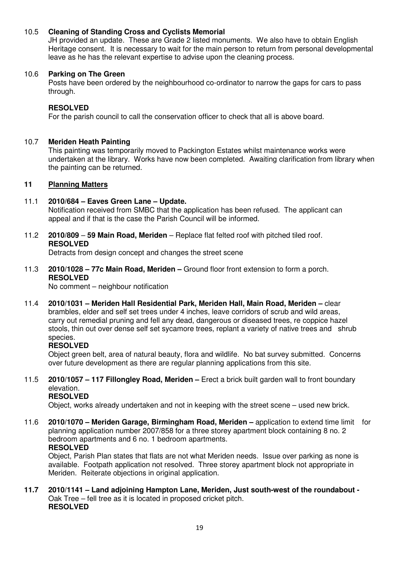## 10.5 **Cleaning of Standing Cross and Cyclists Memorial**

 JH provided an update. These are Grade 2 listed monuments. We also have to obtain English Heritage consent. It is necessary to wait for the main person to return from personal developmental leave as he has the relevant expertise to advise upon the cleaning process.

#### 10.6 **Parking on The Green**

Posts have been ordered by the neighbourhood co-ordinator to narrow the gaps for cars to pass through.

#### **RESOLVED**

For the parish council to call the conservation officer to check that all is above board.

#### 10.7 **Meriden Heath Painting**

 This painting was temporarily moved to Packington Estates whilst maintenance works were undertaken at the library. Works have now been completed. Awaiting clarification from library when the painting can be returned.

#### **11 Planning Matters**

#### 11.1 **2010/684 – Eaves Green Lane – Update.**

Notification received from SMBC that the application has been refused. The applicant can appeal and if that is the case the Parish Council will be informed.

11.2 **2010/809** – **59 Main Road, Meriden** – Replace flat felted roof with pitched tiled roof.  **RESOLVED** 

Detracts from design concept and changes the street scene

11.3 **2010/1028 – 77c Main Road, Meriden –** Ground floor front extension to form a porch.  **RESOLVED** 

No comment – neighbour notification

11.4 **2010/1031 – Meriden Hall Residential Park, Meriden Hall, Main Road, Meriden –** clear brambles, elder and self set trees under 4 inches, leave corridors of scrub and wild areas, carry out remedial pruning and fell any dead, dangerous or diseased trees, re coppice hazel stools, thin out over dense self set sycamore trees, replant a variety of native trees and shrub species.

#### **RESOLVED**

Object green belt, area of natural beauty, flora and wildlife. No bat survey submitted. Concerns over future development as there are regular planning applications from this site.

11.5 **2010/1057 – 117 Fillongley Road, Meriden –** Erect a brick built garden wall to front boundary elevation.

# **RESOLVED**

Object, works already undertaken and not in keeping with the street scene – used new brick.

11.6 **2010/1070 – Meriden Garage, Birmingham Road, Meriden –** application to extend time limit for planning application number 2007/858 for a three storey apartment block containing 8 no. 2 bedroom apartments and 6 no. 1 bedroom apartments.  **RESOLVED** 

 Object, Parish Plan states that flats are not what Meriden needs. Issue over parking as none is available. Footpath application not resolved. Three storey apartment block not appropriate in Meriden. Reiterate objections in original application.

**11.7 2010/1141 – Land adjoining Hampton Lane, Meriden, Just south-west of the roundabout -**  Oak Tree – fell tree as it is located in proposed cricket pitch. **RESOLVED**